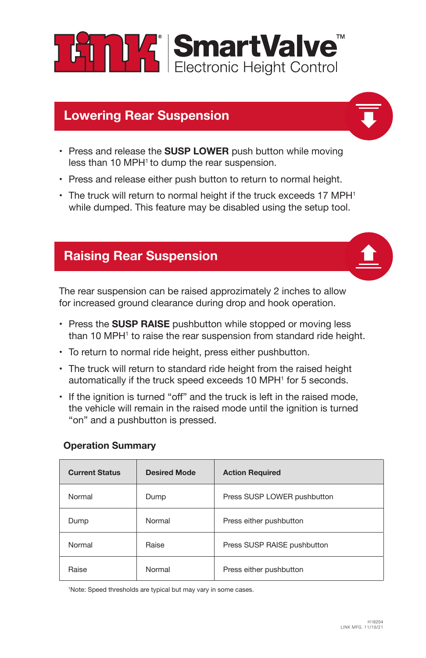**ET PLA SmartValve** 

## **Lowering Rear Suspension**

- Press and release the **SUSP LOWER** push button while moving less than 10 MPH<sup>1</sup> to dump the rear suspension.
- Press and release either push button to return to normal height.
- $\cdot$  The truck will return to normal height if the truck exceeds 17 MPH<sup>1</sup> while dumped. This feature may be disabled using the setup tool.

## **Raising Rear Suspension**

The rear suspension can be raised approzimately 2 inches to allow for increased ground clearance during drop and hook operation.

- Press the **SUSP RAISE** pushbutton while stopped or moving less than 10 MPH<sup>1</sup> to raise the rear suspension from standard ride height.
- To return to normal ride height, press either pushbutton.
- The truck will return to standard ride height from the raised height automatically if the truck speed exceeds 10 MPH<sup>1</sup> for 5 seconds.
- If the ignition is turned "off" and the truck is left in the raised mode. the vehicle will remain in the raised mode until the ignition is turned "on" and a pushbutton is pressed.

#### **Operation Summary**

| <b>Current Status</b> | <b>Desired Mode</b> | <b>Action Required</b>      |
|-----------------------|---------------------|-----------------------------|
| Normal                | Dump                | Press SUSP LOWER pushbutton |
| Dump                  | Normal              | Press either pushbutton     |
| Normal                | Raise               | Press SUSP RAISE pushbutton |
| Raise                 | Normal              | Press either pushbutton     |

1 Note: Speed thresholds are typical but may vary in some cases.